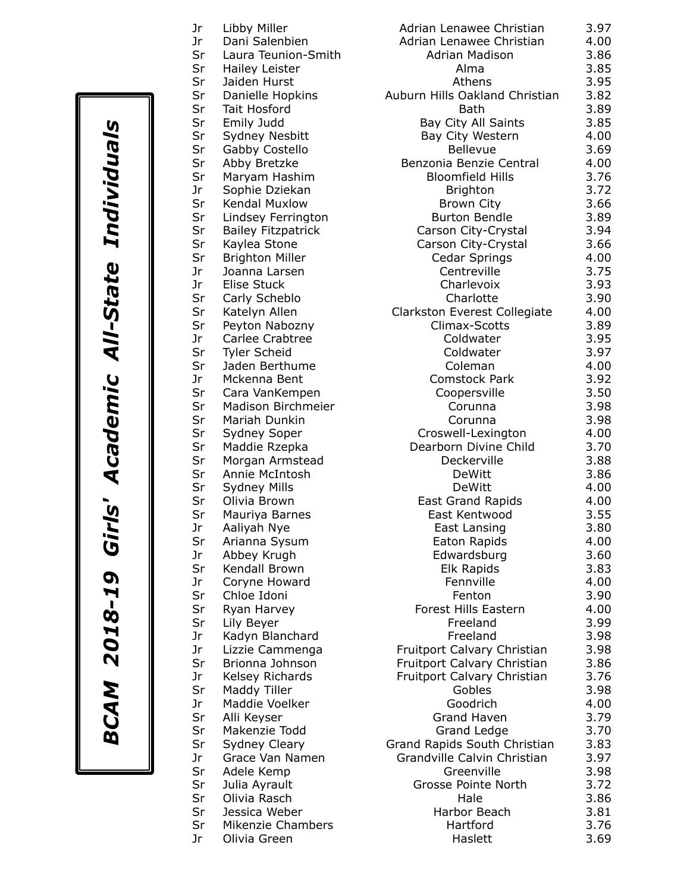*BCAM 2018-19 Girls' Academic All-State Individuals* **BCAM 2018-19 Girls' Academic All-State Individuals** 

| Jr | Libby Miller              | Adrian Lenawee Christian       | 3.97 |
|----|---------------------------|--------------------------------|------|
| Jr | Dani Salenbien            | Adrian Lenawee Christian       | 4.00 |
| Sr | Laura Teunion-Smith       | <b>Adrian Madison</b>          | 3.86 |
| Sr | Hailey Leister            | Alma                           | 3.85 |
| Sr | Jaiden Hurst              | Athens                         | 3.95 |
| Sr | Danielle Hopkins          | Auburn Hills Oakland Christian | 3.82 |
| Sr | Tait Hosford              | <b>Bath</b>                    | 3.89 |
| Sr | Emily Judd                | Bay City All Saints            | 3.85 |
| Sr | Sydney Nesbitt            | Bay City Western               | 4.00 |
| Sr | Gabby Costello            | <b>Bellevue</b>                | 3.69 |
| Sr | Abby Bretzke              | Benzonia Benzie Central        | 4.00 |
| Sr | Maryam Hashim             | <b>Bloomfield Hills</b>        | 3.76 |
| Jr | Sophie Dziekan            | <b>Brighton</b>                | 3.72 |
| Sr | Kendal Muxlow             | <b>Brown City</b>              | 3.66 |
| Sr | Lindsey Ferrington        | <b>Burton Bendle</b>           | 3.89 |
| Sr | <b>Bailey Fitzpatrick</b> | Carson City-Crystal            | 3.94 |
| Sr | Kaylea Stone              | Carson City-Crystal            | 3.66 |
| Sr | <b>Brighton Miller</b>    | Cedar Springs                  | 4.00 |
| Jr | Joanna Larsen             | Centreville                    | 3.75 |
| Jr | <b>Elise Stuck</b>        | Charlevoix                     | 3.93 |
| Sr | Carly Scheblo             | Charlotte                      | 3.90 |
| Sr | Katelyn Allen             | Clarkston Everest Collegiate   | 4.00 |
| Sr | Peyton Nabozny            | Climax-Scotts                  | 3.89 |
| Jr | Carlee Crabtree           | Coldwater                      | 3.95 |
| Sr | <b>Tyler Scheid</b>       | Coldwater                      | 3.97 |
| Sr | Jaden Berthume            | Coleman                        | 4.00 |
| Jr | Mckenna Bent              | Comstock Park                  | 3.92 |
| Sr | Cara VanKempen            | Coopersville                   | 3.50 |
| Sr | Madison Birchmeier        | Corunna                        | 3.98 |
| Sr | Mariah Dunkin             | Corunna                        | 3.98 |
| Sr | Sydney Soper              | Croswell-Lexington             | 4.00 |
| Sr | Maddie Rzepka             | Dearborn Divine Child          | 3.70 |
| Sr | Morgan Armstead           | Deckerville                    | 3.88 |
| Sr | Annie McIntosh            | <b>DeWitt</b>                  | 3.86 |
| Sr | <b>Sydney Mills</b>       | <b>DeWitt</b>                  | 4.00 |
| Sr | Olivia Brown              | <b>East Grand Rapids</b>       | 4.00 |
| Sr | Mauriya Barnes            | East Kentwood                  | 3.55 |
| Jr | Aaliyah Nye               | East Lansing                   | 3.80 |
| Sr | Arianna Sysum             | Eaton Rapids                   | 4.00 |
| Jr | Abbey Krugh               | Edwardsburg                    | 3.60 |
| Sr | Kendall Brown             | Elk Rapids                     | 3.83 |
| Jr | Coryne Howard             | Fennville                      | 4.00 |
| Sr | Chloe Idoni               | Fenton                         | 3.90 |
| Sr | Ryan Harvey               | Forest Hills Eastern           | 4.00 |
| Sr | Lily Beyer                | Freeland                       | 3.99 |
| Jr | Kadyn Blanchard           | Freeland                       | 3.98 |
| Jr | Lizzie Cammenga           | Fruitport Calvary Christian    | 3.98 |
| Sr | Brionna Johnson           | Fruitport Calvary Christian    | 3.86 |
| Jr | Kelsey Richards           | Fruitport Calvary Christian    | 3.76 |
| Sr | Maddy Tiller              | Gobles                         | 3.98 |
| Jr | Maddie Voelker            | Goodrich                       | 4.00 |
| Sr | Alli Keyser               | Grand Haven                    | 3.79 |
| Sr | Makenzie Todd             | <b>Grand Ledge</b>             | 3.70 |
| Sr | Sydney Cleary             | Grand Rapids South Christian   | 3.83 |
| Jr | Grace Van Namen           | Grandville Calvin Christian    | 3.97 |
| Sr | Adele Kemp                | Greenville                     | 3.98 |
| Sr | Julia Ayrault             | Grosse Pointe North            | 3.72 |
| Sr | Olivia Rasch              | Hale                           | 3.86 |
| Sr | Jessica Weber             | Harbor Beach                   | 3.81 |
| Sr | Mikenzie Chambers         | Hartford                       | 3.76 |
| Jr | Olivia Green              | Haslett                        | 3.69 |
|    |                           |                                |      |

| Adrian Lenawee Christian       | 3.97 |
|--------------------------------|------|
| Adrian Lenawee Christian       | 4.00 |
|                                |      |
| <b>Adrian Madison</b>          | 3.86 |
| Alma                           | 3.85 |
| Athens                         | 3.95 |
| Auburn Hills Oakland Christian | 3.82 |
| <b>Bath</b>                    | 3.89 |
| <b>Bay City All Saints</b>     | 3.85 |
| Bay City Western               | 4.00 |
| <b>Bellevue</b>                | 3.69 |
| Benzonia Benzie Central        | 4.00 |
|                                |      |
| <b>Bloomfield Hills</b>        | 3.76 |
| <b>Brighton</b>                | 3.72 |
| <b>Brown City</b>              | 3.66 |
| <b>Burton Bendle</b>           | 3.89 |
| Carson City-Crystal            | 3.94 |
| Carson City-Crystal            | 3.66 |
| Cedar Springs                  | 4.00 |
| Centreville                    | 3.75 |
| Charlevoix                     | 3.93 |
|                                |      |
| Charlotte                      | 3.90 |
| Clarkston Everest Collegiate   | 4.00 |
| Climax-Scotts                  | 3.89 |
| Coldwater                      | 3.95 |
| Coldwater                      | 3.97 |
| Coleman                        | 4.00 |
| <b>Comstock Park</b>           | 3.92 |
| Coopersville                   | 3.50 |
| Corunna                        | 3.98 |
| Corunna                        | 3.98 |
| Croswell-Lexington             | 4.00 |
| Dearborn Divine Child          | 3.70 |
| Deckerville                    | 3.88 |
|                                |      |
| DeWitt                         | 3.86 |
| <b>DeWitt</b>                  | 4.00 |
| <b>East Grand Rapids</b>       | 4.00 |
| East Kentwood                  | 3.55 |
| East Lansing                   | 3.80 |
| Eaton Rapids                   | 4.00 |
| Edwardsburg                    | 3.60 |
| Elk Rapids                     | 3.83 |
| Fennville                      | 4.00 |
| Fenton                         | 3.90 |
| <b>Forest Hills Eastern</b>    | 4.00 |
| Freeland                       | 3.99 |
|                                |      |
| Freeland                       | 3.98 |
| Fruitport Calvary Christian    | 3.98 |
| Fruitport Calvary Christian    | 3.86 |
| Fruitport Calvary Christian    | 3.76 |
| Gobles                         | 3.98 |
| Goodrich                       | 4.00 |
| Grand Haven                    | 3.79 |
| Grand Ledge                    | 3.70 |
| Grand Rapids South Christian   | 3.83 |
| Grandville Calvin Christian    | 3.97 |
| Greenville                     | 3.98 |
| <b>Grosse Pointe North</b>     | 3.72 |
| Hale                           | 3.86 |
| Harbor Beach                   | 3.81 |
| Hartford                       | 3.76 |
|                                |      |
| Haslett                        | 3.69 |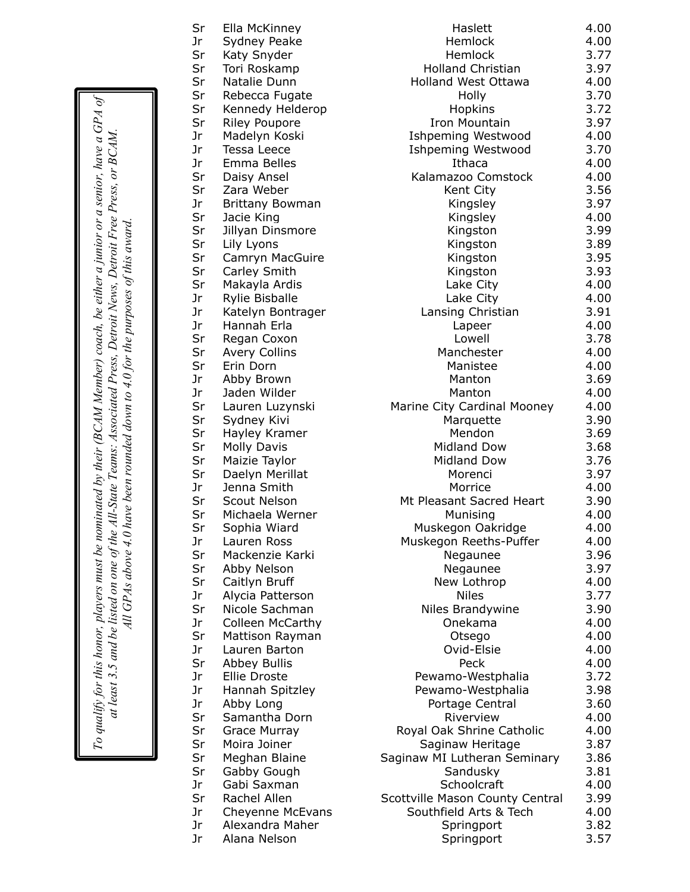| Sr | Ella McKinney           | Haslett                         | 4.00 |
|----|-------------------------|---------------------------------|------|
| Jr | Sydney Peake            | Hemlock                         | 4.00 |
| Sr | Katy Snyder             | Hemlock                         | 3.77 |
| Sr | Tori Roskamp            | <b>Holland Christian</b>        | 3.97 |
| Sr | Natalie Dunn            | <b>Holland West Ottawa</b>      | 4.00 |
| Sr | Rebecca Fugate          | Holly                           | 3.70 |
| Sr | Kennedy Helderop        | Hopkins                         | 3.72 |
| Sr | <b>Riley Poupore</b>    | Iron Mountain                   | 3.97 |
| Jr | Madelyn Koski           | <b>Ishpeming Westwood</b>       | 4.00 |
| Jr | <b>Tessa Leece</b>      | <b>Ishpeming Westwood</b>       | 3.70 |
| Jr | Emma Belles             | Ithaca                          | 4.00 |
| Sr | Daisy Ansel             | Kalamazoo Comstock              | 4.00 |
| Sr | Zara Weber              | Kent City                       | 3.56 |
| Jr | <b>Brittany Bowman</b>  | Kingsley                        | 3.97 |
| Sr | Jacie King              | Kingsley                        | 4.00 |
| Sr | Jillyan Dinsmore        | Kingston                        | 3.99 |
| Sr | Lily Lyons              | Kingston                        | 3.89 |
| Sr | Camryn MacGuire         | Kingston                        | 3.95 |
| Sr | Carley Smith            | Kingston                        | 3.93 |
| Sr | Makayla Ardis           | Lake City                       | 4.00 |
| Jr | <b>Rylie Bisballe</b>   | Lake City                       | 4.00 |
| Jr | Katelyn Bontrager       | Lansing Christian               | 3.91 |
| Jr | Hannah Erla             | Lapeer                          | 4.00 |
| Sr | Regan Coxon             | Lowell                          | 3.78 |
| Sr | <b>Avery Collins</b>    | Manchester                      | 4.00 |
| Sr | Erin Dorn               | Manistee                        | 4.00 |
| Jr | Abby Brown              | Manton                          | 3.69 |
| Jr | Jaden Wilder            | Manton                          | 4.00 |
| Sr | Lauren Luzynski         | Marine City Cardinal Mooney     | 4.00 |
| Sr | Sydney Kivi             | Marquette                       | 3.90 |
| Sr | Hayley Kramer           | Mendon                          | 3.69 |
| Sr | <b>Molly Davis</b>      | <b>Midland Dow</b>              | 3.68 |
| Sr | Maizie Taylor           | <b>Midland Dow</b>              | 3.76 |
| Sr | Daelyn Merillat         | Morenci                         | 3.97 |
| Jr | Jenna Smith             | Morrice                         | 4.00 |
| Sr | Scout Nelson            | Mt Pleasant Sacred Heart        | 3.90 |
| Sr | Michaela Werner         | Munising                        | 4.00 |
| Sr | Sophia Wiard            | Muskegon Oakridge               | 4.00 |
| Jr | Lauren Ross             | Muskegon Reeths-Puffer          | 4.00 |
| Sr | Mackenzie Karki         | Negaunee                        | 3.96 |
| Sr | Abby Nelson             | Negaunee                        | 3.97 |
| Sr | Caitlyn Bruff           | New Lothrop                     | 4.00 |
| Jr | Alycia Patterson        | <b>Niles</b>                    | 3.77 |
| Sr | Nicole Sachman          | Niles Brandywine                | 3.90 |
| Jr | <b>Colleen McCarthy</b> | Onekama                         | 4.00 |
| Sr | Mattison Rayman         | Otsego                          | 4.00 |
| Jr | Lauren Barton           | Ovid-Elsie                      | 4.00 |
| Sr | <b>Abbey Bullis</b>     | Peck                            | 4.00 |
| Jr | <b>Ellie Droste</b>     | Pewamo-Westphalia               | 3.72 |
| Jr | Hannah Spitzley         | Pewamo-Westphalia               | 3.98 |
| Jr | Abby Long               | Portage Central                 | 3.60 |
| Sr | Samantha Dorn           | Riverview                       | 4.00 |
| Sr | Grace Murray            | Royal Oak Shrine Catholic       | 4.00 |
| Sr | Moira Joiner            | Saginaw Heritage                | 3.87 |
| Sr | Meghan Blaine           | Saginaw MI Lutheran Seminary    | 3.86 |
| Sr | Gabby Gough             | Sandusky                        | 3.81 |
| Jr | Gabi Saxman             | Schoolcraft                     | 4.00 |
| Sr | Rachel Allen            | Scottville Mason County Central | 3.99 |
| Jr | Cheyenne McEvans        | Southfield Arts & Tech          | 4.00 |
| Jr | Alexandra Maher         | Springport                      | 3.82 |
| Jr | Alana Nelson            | Springport                      | 3.57 |

To qualify for this honor, players must be nominated by their (BCAM Member) coach, be either a junior or a senior, have a GPA of<br>at least 3.5 and be listed on one of the All-State Teams: Associated Press, Detroit News, Det *To qualify for this honor, players must be nominated by their (BCAM Member) coach, be either a junior or a senior, have a GPA of at least 3.5 and be listed on one of the All-State Teams: Associated Press, Detroit News, Detroit Free Press, or BCAM. All GPAs above 4.0 have been rounded down to 4.0 for the purposes of this award.*